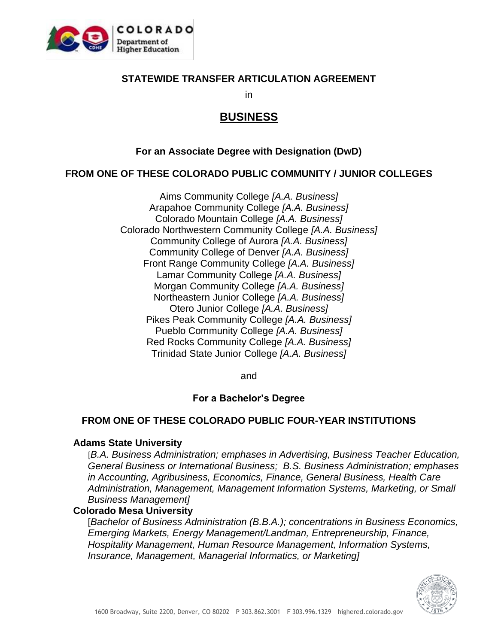

#### **STATEWIDE TRANSFER ARTICULATION AGREEMENT**

in

# **BUSINESS**

#### **For an Associate Degree with Designation (DwD)**

#### **FROM ONE OF THESE COLORADO PUBLIC COMMUNITY / JUNIOR COLLEGES**

Aims Community College *[A.A. Business]* Arapahoe Community College *[A.A. Business]* Colorado Mountain College *[A.A. Business]* Colorado Northwestern Community College *[A.A. Business]* Community College of Aurora *[A.A. Business]* Community College of Denver *[A.A. Business]* Front Range Community College *[A.A. Business]* Lamar Community College *[A.A. Business]* Morgan Community College *[A.A. Business]* Northeastern Junior College *[A.A. Business]* Otero Junior College *[A.A. Business]* Pikes Peak Community College *[A.A. Business]* Pueblo Community College *[A.A. Business]* Red Rocks Community College *[A.A. Business]* Trinidad State Junior College *[A.A. Business]*

and

### **For a Bachelor's Degree**

### **FROM ONE OF THESE COLORADO PUBLIC FOUR-YEAR INSTITUTIONS**

#### **Adams State University**

[*B.A. Business Administration; emphases in Advertising, Business Teacher Education, General Business or International Business; B.S. Business Administration; emphases in Accounting, Agribusiness, Economics, Finance, General Business, Health Care Administration, Management, Management Information Systems, Marketing, or Small Business Management]*

#### **Colorado Mesa University**

[*Bachelor of Business Administration (B.B.A.); concentrations in Business Economics, Emerging Markets, Energy Management/Landman, Entrepreneurship, Finance, Hospitality Management, Human Resource Management, Information Systems, Insurance, Management, Managerial Informatics, or Marketing]*

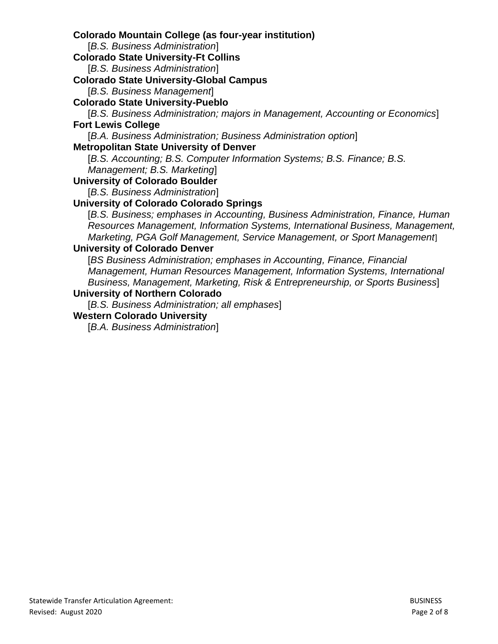**Colorado Mountain College (as four-year institution)**

[*B.S. Business Administration*]

**Colorado State University-Ft Collins**

[*B.S. Business Administration*]

**Colorado State University-Global Campus** 

[*B.S. Business Management*]

**Colorado State University-Pueblo** 

[*B.S. Business Administration; majors in Management, Accounting or Economics*] **Fort Lewis College** 

[*B.A. Business Administration; Business Administration option*]

## **Metropolitan State University of Denver**

[*B.S. Accounting; B.S. Computer Information Systems; B.S. Finance; B.S. Management; B.S. Marketing*]

# **University of Colorado Boulder**

[*B.S. Business Administration*]

## **University of Colorado Colorado Springs**

[*B.S. Business; emphases in Accounting, Business Administration, Finance, Human Resources Management, Information Systems, International Business, Management, Marketing, PGA Golf Management, Service Management, or Sport Management*]

## **University of Colorado Denver**

[*BS Business Administration; emphases in Accounting, Finance, Financial Management, Human Resources Management, Information Systems, International Business, Management, Marketing, Risk & Entrepreneurship, or Sports Business*]

#### **University of Northern Colorado**

[*B.S. Business Administration; all emphases*]

#### **Western Colorado University**

[*B.A. Business Administration*]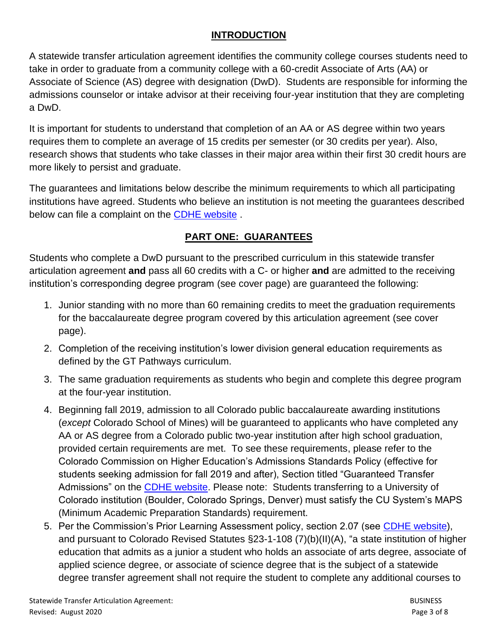## **INTRODUCTION**

A statewide transfer articulation agreement identifies the community college courses students need to take in order to graduate from a community college with a 60-credit Associate of Arts (AA) or Associate of Science (AS) degree with designation (DwD). Students are responsible for informing the admissions counselor or intake advisor at their receiving four-year institution that they are completing a DwD.

It is important for students to understand that completion of an AA or AS degree within two years requires them to complete an average of 15 credits per semester (or 30 credits per year). Also, research shows that students who take classes in their major area within their first 30 credit hours are more likely to persist and graduate.

The guarantees and limitations below describe the minimum requirements to which all participating institutions have agreed. Students who believe an institution is not meeting the guarantees described below can file a complaint on the [CDHE website](https://highered.colorado.gov/filing-student-complaint).

# **PART ONE: GUARANTEES**

Students who complete a DwD pursuant to the prescribed curriculum in this statewide transfer articulation agreement **and** pass all 60 credits with a C- or higher **and** are admitted to the receiving institution's corresponding degree program (see cover page) are guaranteed the following:

- 1. Junior standing with no more than 60 remaining credits to meet the graduation requirements for the baccalaureate degree program covered by this articulation agreement (see cover page).
- 2. Completion of the receiving institution's lower division general education requirements as defined by the GT Pathways curriculum.
- 3. The same graduation requirements as students who begin and complete this degree program at the four-year institution.
- 4. Beginning fall 2019, admission to all Colorado public baccalaureate awarding institutions (*except* Colorado School of Mines) will be guaranteed to applicants who have completed any AA or AS degree from a Colorado public two-year institution after high school graduation, provided certain requirements are met. To see these requirements, please refer to the Colorado Commission on Higher Education's Admissions Standards Policy (effective for students seeking admission for fall 2019 and after), Section titled "Guaranteed Transfer Admissions" on the [CDHE website.](https://highered.colorado.gov/sites/highered/files/2020-03/i-partf_0.pdf) Please note: Students transferring to a University of Colorado institution (Boulder, Colorado Springs, Denver) must satisfy the CU System's MAPS (Minimum Academic Preparation Standards) requirement.
- 5. Per the Commission's Prior Learning Assessment policy, section 2.07 (see [CDHE website\)](https://highered.colorado.gov/sites/highered/files/2020-03/i-partx.pdf), and pursuant to Colorado Revised Statutes §23-1-108 (7)(b)(II)(A), "a state institution of higher education that admits as a junior a student who holds an associate of arts degree, associate of applied science degree, or associate of science degree that is the subject of a statewide degree transfer agreement shall not require the student to complete any additional courses to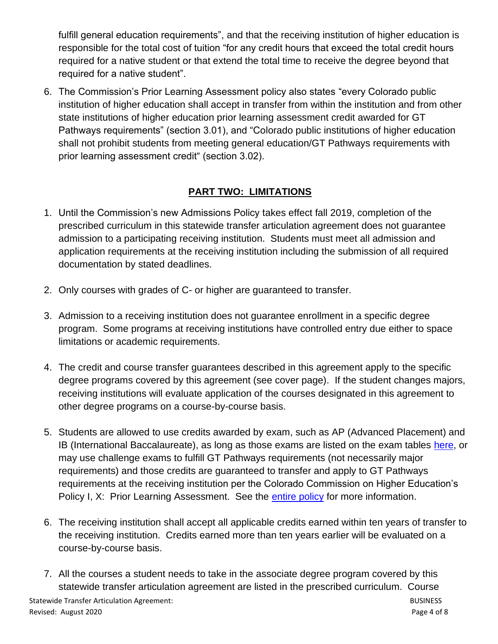fulfill general education requirements", and that the receiving institution of higher education is responsible for the total cost of tuition "for any credit hours that exceed the total credit hours required for a native student or that extend the total time to receive the degree beyond that required for a native student".

6. The Commission's Prior Learning Assessment policy also states "every Colorado public institution of higher education shall accept in transfer from within the institution and from other state institutions of higher education prior learning assessment credit awarded for GT Pathways requirements" (section 3.01), and "Colorado public institutions of higher education shall not prohibit students from meeting general education/GT Pathways requirements with prior learning assessment credit" (section 3.02).

## **PART TWO: LIMITATIONS**

- 1. Until the Commission's new Admissions Policy takes effect fall 2019, completion of the prescribed curriculum in this statewide transfer articulation agreement does not guarantee admission to a participating receiving institution. Students must meet all admission and application requirements at the receiving institution including the submission of all required documentation by stated deadlines.
- 2. Only courses with grades of C- or higher are guaranteed to transfer.
- 3. Admission to a receiving institution does not guarantee enrollment in a specific degree program. Some programs at receiving institutions have controlled entry due either to space limitations or academic requirements.
- 4. The credit and course transfer guarantees described in this agreement apply to the specific degree programs covered by this agreement (see cover page). If the student changes majors, receiving institutions will evaluate application of the courses designated in this agreement to other degree programs on a course-by-course basis.
- 5. Students are allowed to use credits awarded by exam, such as AP (Advanced Placement) and IB (International Baccalaureate), as long as those exams are listed on the exam tables [here,](https://highered.colorado.gov/get-credit-what-you-already-know) or may use challenge exams to fulfill GT Pathways requirements (not necessarily major requirements) and those credits are guaranteed to transfer and apply to GT Pathways requirements at the receiving institution per the Colorado Commission on Higher Education's Policy I, X: Prior Learning Assessment. See the [entire policy](https://highered.colorado.gov/sites/highered/files/2020-03/i-partx.pdf) for more information.
- 6. The receiving institution shall accept all applicable credits earned within ten years of transfer to the receiving institution. Credits earned more than ten years earlier will be evaluated on a course-by-course basis.
- 7. All the courses a student needs to take in the associate degree program covered by this statewide transfer articulation agreement are listed in the prescribed curriculum. Course

Statewide Transfer Articulation Agreement: Statewide Transfer Articulation Agreement: BUSINESS Revised: August 2020 **Page 4 of 8**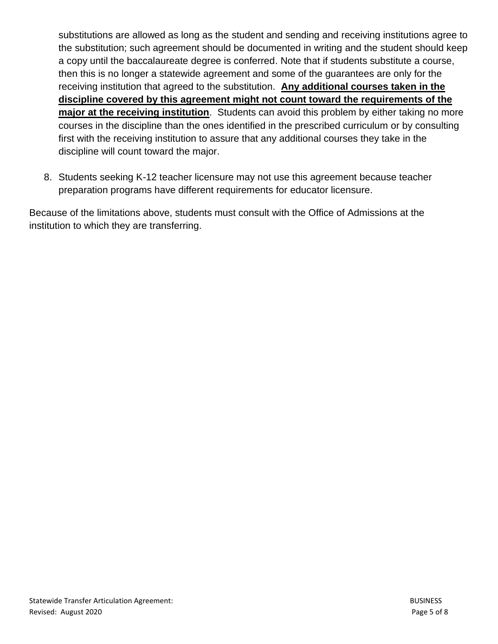substitutions are allowed as long as the student and sending and receiving institutions agree to the substitution; such agreement should be documented in writing and the student should keep a copy until the baccalaureate degree is conferred. Note that if students substitute a course, then this is no longer a statewide agreement and some of the guarantees are only for the receiving institution that agreed to the substitution. **Any additional courses taken in the discipline covered by this agreement might not count toward the requirements of the major at the receiving institution**. Students can avoid this problem by either taking no more courses in the discipline than the ones identified in the prescribed curriculum or by consulting first with the receiving institution to assure that any additional courses they take in the discipline will count toward the major.

8. Students seeking K-12 teacher licensure may not use this agreement because teacher preparation programs have different requirements for educator licensure.

Because of the limitations above, students must consult with the Office of Admissions at the institution to which they are transferring.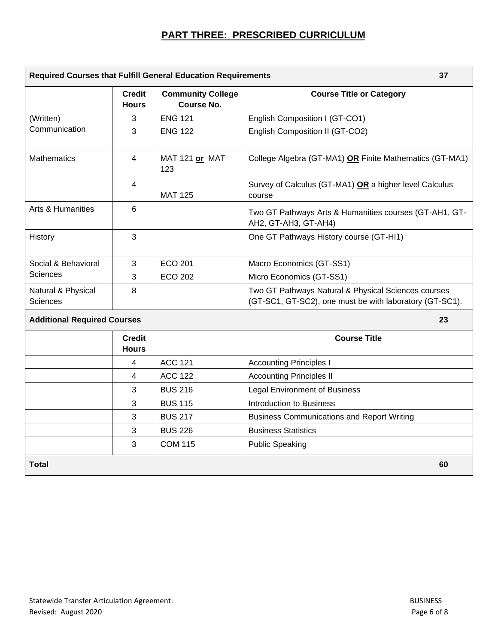## **PART THREE: PRESCRIBED CURRICULUM**

| <b>Required Courses that Fulfill General Education Requirements</b><br>37 |                               |                                               |                                                                                                                |
|---------------------------------------------------------------------------|-------------------------------|-----------------------------------------------|----------------------------------------------------------------------------------------------------------------|
|                                                                           | <b>Credit</b><br><b>Hours</b> | <b>Community College</b><br><b>Course No.</b> | <b>Course Title or Category</b>                                                                                |
| (Written)                                                                 | 3                             | <b>ENG 121</b>                                | English Composition I (GT-CO1)                                                                                 |
| Communication                                                             | 3                             | <b>ENG 122</b>                                | English Composition II (GT-CO2)                                                                                |
| <b>Mathematics</b>                                                        | 4                             | MAT 121 or MAT<br>123                         | College Algebra (GT-MA1) OR Finite Mathematics (GT-MA1)                                                        |
|                                                                           | 4                             | <b>MAT 125</b>                                | Survey of Calculus (GT-MA1) OR a higher level Calculus<br>course                                               |
| <b>Arts &amp; Humanities</b>                                              | 6                             |                                               | Two GT Pathways Arts & Humanities courses (GT-AH1, GT-<br>AH2, GT-AH3, GT-AH4)                                 |
| History                                                                   | 3                             |                                               | One GT Pathways History course (GT-HI1)                                                                        |
| Social & Behavioral                                                       | 3                             | <b>ECO 201</b>                                | Macro Economics (GT-SS1)                                                                                       |
| <b>Sciences</b>                                                           | 3                             | <b>ECO 202</b>                                | Micro Economics (GT-SS1)                                                                                       |
| Natural & Physical<br><b>Sciences</b>                                     | 8                             |                                               | Two GT Pathways Natural & Physical Sciences courses<br>(GT-SC1, GT-SC2), one must be with laboratory (GT-SC1). |
| <b>Additional Required Courses</b><br>23                                  |                               |                                               |                                                                                                                |
|                                                                           | <b>Credit</b><br><b>Hours</b> |                                               | <b>Course Title</b>                                                                                            |
|                                                                           | 4                             | <b>ACC 121</b>                                | <b>Accounting Principles I</b>                                                                                 |
|                                                                           | 4                             | <b>ACC 122</b>                                | <b>Accounting Principles II</b>                                                                                |
|                                                                           | 3                             | <b>BUS 216</b>                                | <b>Legal Environment of Business</b>                                                                           |
|                                                                           | 3                             | <b>BUS 115</b>                                | <b>Introduction to Business</b>                                                                                |
|                                                                           | 3                             | <b>BUS 217</b>                                | <b>Business Communications and Report Writing</b>                                                              |
|                                                                           | 3                             | <b>BUS 226</b>                                | <b>Business Statistics</b>                                                                                     |
|                                                                           | 3                             | <b>COM 115</b>                                | <b>Public Speaking</b>                                                                                         |
| <b>Total</b>                                                              |                               |                                               | 60                                                                                                             |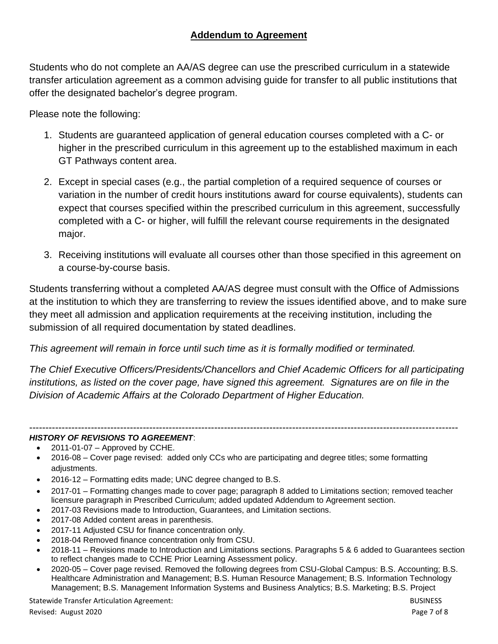## **Addendum to Agreement**

Students who do not complete an AA/AS degree can use the prescribed curriculum in a statewide transfer articulation agreement as a common advising guide for transfer to all public institutions that offer the designated bachelor's degree program.

Please note the following:

- 1. Students are guaranteed application of general education courses completed with a C- or higher in the prescribed curriculum in this agreement up to the established maximum in each GT Pathways content area.
- 2. Except in special cases (e.g., the partial completion of a required sequence of courses or variation in the number of credit hours institutions award for course equivalents), students can expect that courses specified within the prescribed curriculum in this agreement, successfully completed with a C- or higher, will fulfill the relevant course requirements in the designated major.
- 3. Receiving institutions will evaluate all courses other than those specified in this agreement on a course-by-course basis.

Students transferring without a completed AA/AS degree must consult with the Office of Admissions at the institution to which they are transferring to review the issues identified above, and to make sure they meet all admission and application requirements at the receiving institution, including the submission of all required documentation by stated deadlines.

*This agreement will remain in force until such time as it is formally modified or terminated.* 

*The Chief Executive Officers/Presidents/Chancellors and Chief Academic Officers for all participating*  institutions, as listed on the cover page, have signed this agreement. Signatures are on file in the *Division of Academic Affairs at the Colorado Department of Higher Education.*

#### ------------------------------------------------------------------------------------------------------------------------------------ *HISTORY OF REVISIONS TO AGREEMENT*:

- 2011-01-07 Approved by CCHE.
- 2016-08 Cover page revised: added only CCs who are participating and degree titles; some formatting adjustments.
- 2016-12 Formatting edits made; UNC degree changed to B.S.
- 2017-01 Formatting changes made to cover page; paragraph 8 added to Limitations section; removed teacher licensure paragraph in Prescribed Curriculum; added updated Addendum to Agreement section.
- 2017-03 Revisions made to Introduction, Guarantees, and Limitation sections.
- 2017-08 Added content areas in parenthesis.
- 2017-11 Adjusted CSU for finance concentration only.
- 2018-04 Removed finance concentration only from CSU.
- 2018-11 Revisions made to Introduction and Limitations sections. Paragraphs 5 & 6 added to Guarantees section to reflect changes made to CCHE Prior Learning Assessment policy.
- 2020-05 Cover page revised. Removed the following degrees from CSU-Global Campus: B.S. Accounting; B.S. Healthcare Administration and Management; B.S. Human Resource Management; B.S. Information Technology Management; B.S. Management Information Systems and Business Analytics; B.S. Marketing; B.S. Project

Statewide Transfer Articulation Agreement: Statewide Transfer Articulation Agreement: